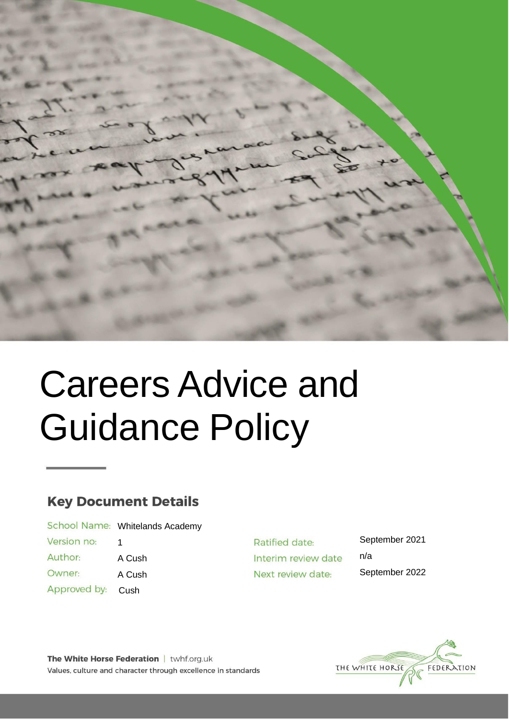

# Careers Advice and Guidance Policy

## **Key Document Details**

|              | School Name: Whitelands Academy |
|--------------|---------------------------------|
| Version no:  |                                 |
| Author:      | A Cush                          |
| Owner:       | A Cush                          |
| Approved by: | Cush                            |

Ratified date: Interim review date Next review date:

September 2021 n/a September 2022



The White Horse Federation | twhf.org.uk Values, culture and character through excellence in standards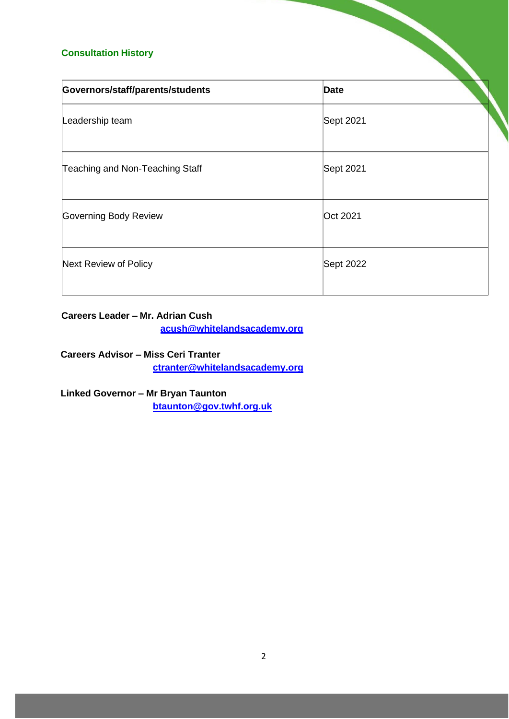#### **Consultation History**

| <b>Consultation History</b>      |             |  |
|----------------------------------|-------------|--|
| Governors/staff/parents/students | <b>Date</b> |  |
| Leadership team                  | Sept 2021   |  |
| Teaching and Non-Teaching Staff  | Sept 2021   |  |
| Governing Body Review            | Oct 2021    |  |
| Next Review of Policy            | Sept 2022   |  |

### **Careers Leader – Mr. Adrian Cush**

**[acush@whitelandsacademy.org](mailto:acush@whitelandsacademy.org)**

**Careers Advisor – Miss Ceri Tranter [ctranter@whitelandsacademy.org](mailto:ctranter@whitelandsacademy.org)**

**Linked Governor – Mr Bryan Taunton [btaunton@gov.twhf.org.uk](mailto:btaunton@gov.twhf.org.uk)**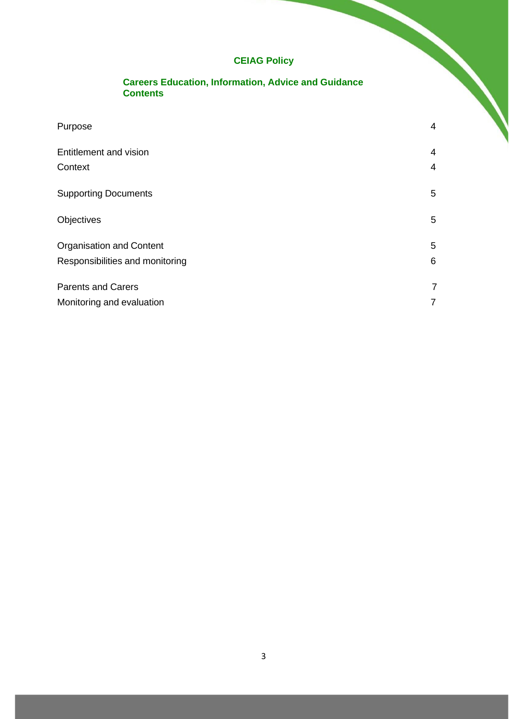## **CEIAG Policy**

ヽ

#### **Careers Education, Information, Advice and Guidance Contents**

| Purpose                         | 4              |
|---------------------------------|----------------|
| Entitlement and vision          | $\overline{4}$ |
| Context                         | $\overline{4}$ |
| <b>Supporting Documents</b>     | 5              |
| Objectives                      | 5              |
| <b>Organisation and Content</b> | 5              |
| Responsibilities and monitoring | 6              |
| <b>Parents and Carers</b>       | $\overline{7}$ |
| Monitoring and evaluation       | 7              |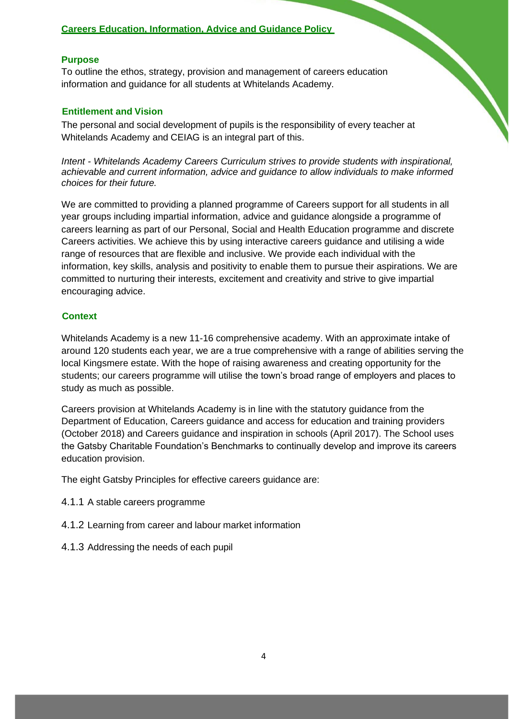#### **Careers Education, Information, Advice and Guidance Policy**

#### **Purpose**

To outline the ethos, strategy, provision and management of careers education information and guidance for all students at Whitelands Academy.

#### <span id="page-3-0"></span>**Entitlement and Vision**

The personal and social development of pupils is the responsibility of every teacher at Whitelands Academy and CEIAG is an integral part of this.

*Intent - Whitelands Academy Careers Curriculum strives to provide students with inspirational, achievable and current information, advice and guidance to allow individuals to make informed choices for their future.*

We are committed to providing a planned programme of Careers support for all students in all year groups including impartial information, advice and guidance alongside a programme of careers learning as part of our Personal, Social and Health Education programme and discrete Careers activities. We achieve this by using interactive careers guidance and utilising a wide range of resources that are flexible and inclusive. We provide each individual with the information, key skills, analysis and positivity to enable them to pursue their aspirations. We are committed to nurturing their interests, excitement and creativity and strive to give impartial encouraging advice.

#### <span id="page-3-1"></span>**Context**

Whitelands Academy is a new 11-16 comprehensive academy. With an approximate intake of around 120 students each year, we are a true comprehensive with a range of abilities serving the local Kingsmere estate. With the hope of raising awareness and creating opportunity for the students; our careers programme will utilise the town's broad range of employers and places to study as much as possible.

Careers provision at Whitelands Academy is in line with the statutory guidance from the Department of Education, Careers guidance and access for education and training providers (October 2018) and Careers guidance and inspiration in schools (April 2017). The School uses the Gatsby Charitable Foundation's Benchmarks to continually develop and improve its careers education provision.

The eight Gatsby Principles for effective careers guidance are:

- 4.1.1 A stable careers programme
- 4.1.2 Learning from career and labour market information
- 4.1.3 Addressing the needs of each pupil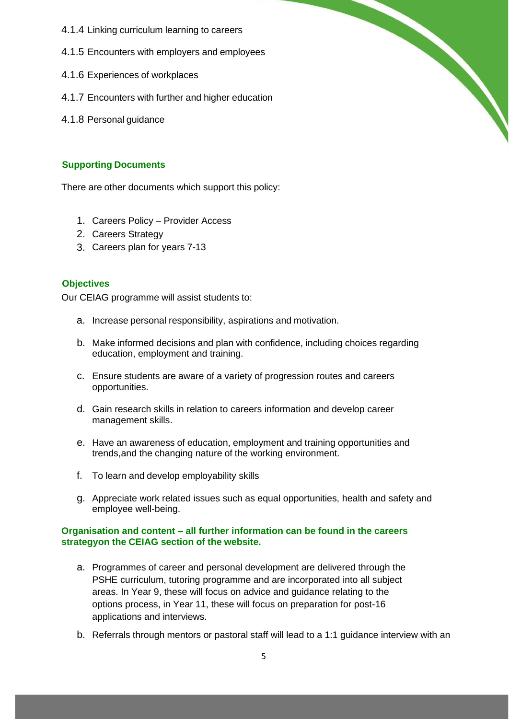- 4.1.4 Linking curriculum learning to careers
- 4.1.5 Encounters with employers and employees
- 4.1.6 Experiences of workplaces
- 4.1.7 Encounters with further and higher education
- 4.1.8 Personal guidance

#### <span id="page-4-0"></span>**Supporting Documents**

There are other documents which support this policy:

- 1. Careers Policy Provider Access
- 2. Careers Strategy
- 3. Careers plan for years 7-13

#### <span id="page-4-1"></span>**Objectives**

Our CEIAG programme will assist students to:

- a. Increase personal responsibility, aspirations and motivation.
- b. Make informed decisions and plan with confidence, including choices regarding education, employment and training.

- c. Ensure students are aware of a variety of progression routes and careers opportunities.
- d. Gain research skills in relation to careers information and develop career management skills.
- e. Have an awareness of education, employment and training opportunities and trends,and the changing nature of the working environment.
- f. To learn and develop employability skills
- g. Appreciate work related issues such as equal opportunities, health and safety and employee well-being.

#### **Organisation and content – all further information can be found in the careers strategyon the CEIAG section of the website.**

- a. Programmes of career and personal development are delivered through the PSHE curriculum, tutoring programme and are incorporated into all subject areas. In Year 9, these will focus on advice and guidance relating to the options process, in Year 11, these will focus on preparation for post-16 applications and interviews.
- b. Referrals through mentors or pastoral staff will lead to a 1:1 guidance interview with an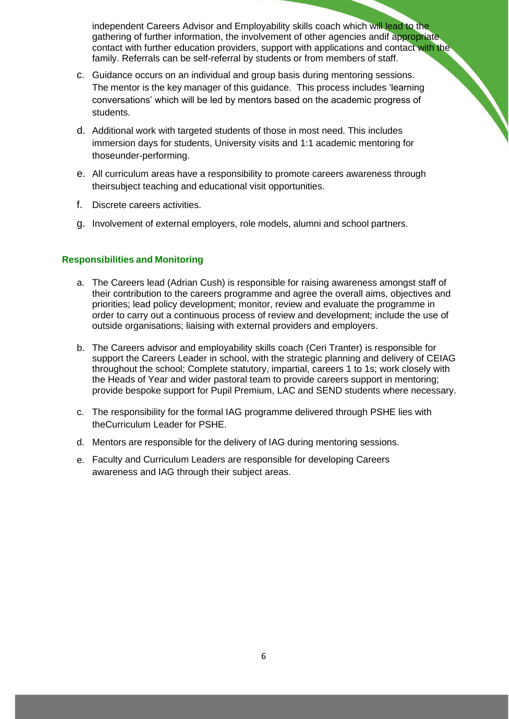independent Careers Advisor and Employability skills coach which will lead to the gathering of further information, the involvement of other agencies andif appropriate contact with further education providers, support with applications and contact with the family. Referrals can be self-referral by students or from members of staff.

- c. Guidance occurs on an individual and group basis during mentoring sessions. The mentor is the key manager of this guidance. This process includes 'learning conversations' which will be led by mentors based on the academic progress of students.
- Additional work with targeted students of those in most need. This includes d. immersion days for students, University visits and 1:1 academic mentoring for thoseunder-performing.
- All curriculum areas have a responsibility to promote careers awareness through e. theirsubject teaching and educational visit opportunities.
- Discrete careers activities. f.
- g. Involvement of external employers, role models, alumni and school partners.

#### <span id="page-5-0"></span>**Responsibilities and Monitoring**

- a. The Careers lead (Adrian Cush) is responsible for raising awareness amongst staff of their contribution to the careers programme and agree the overall aims, objectives and priorities; lead policy development; monitor, review and evaluate the programme in order to carry out a continuous process of review and development; include the use of outside organisations; liaising with external providers and employers.
- b. The Careers advisor and employability skills coach (Ceri Tranter) is responsible for support the Careers Leader in school, with the strategic planning and delivery of CEIAG throughout the school; Complete statutory, impartial, careers 1 to 1s; work closely with the Heads of Year and wider pastoral team to provide careers support in mentoring; provide bespoke support for Pupil Premium, LAC and SEND students where necessary.
- c. The responsibility for the formal IAG programme delivered through PSHE lies with theCurriculum Leader for PSHE.
- Mentors are responsible for the delivery of IAG during mentoring sessions. d.
- Faculty and Curriculum Leaders are responsible for developing Careers e. awareness and IAG through their subject areas.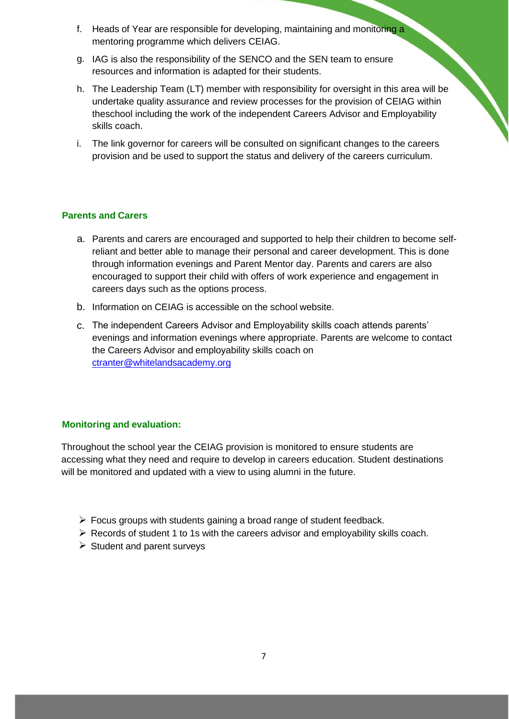- f. Heads of Year are responsible for developing, maintaining and monitoring a mentoring programme which delivers CEIAG.
- g. IAG is also the responsibility of the SENCO and the SEN team to ensure resources and information is adapted for their students.
- The Leadership Team (LT) member with responsibility for oversight in this area will be h. undertake quality assurance and review processes for the provision of CEIAG within theschool including the work of the independent Careers Advisor and Employability skills coach.
- The link governor for careers will be consulted on significant changes to the careers i. provision and be used to support the status and delivery of the careers curriculum.

#### <span id="page-6-0"></span>**Parents and Carers**

- a. Parents and carers are encouraged and supported to help their children to become selfreliant and better able to manage their personal and career development. This is done through information evenings and Parent Mentor day. Parents and carers are also encouraged to support their child with offers of work experience and engagement in careers days such as the options process.
- b. Information on CEIAG is accessible on the school website.
- The independent Careers Advisor and Employability skills coach attends parents' c. evenings and information evenings where appropriate. Parents are welcome to contact the Careers Advisor and employability skills coach on [ctranter@whitelandsacademy.org](mailto:ctranter@whitelandsacademy.org)

#### <span id="page-6-1"></span>**Monitoring and evaluation:**

Throughout the school year the CEIAG provision is monitored to ensure students are accessing what they need and require to develop in careers education. Student destinations will be monitored and updated with a view to using alumni in the future.

- ➢ Focus groups with students gaining a broad range of student feedback.
- ➢ Records of student 1 to 1s with the careers advisor and employability skills coach.
- ➢ Student and parent surveys